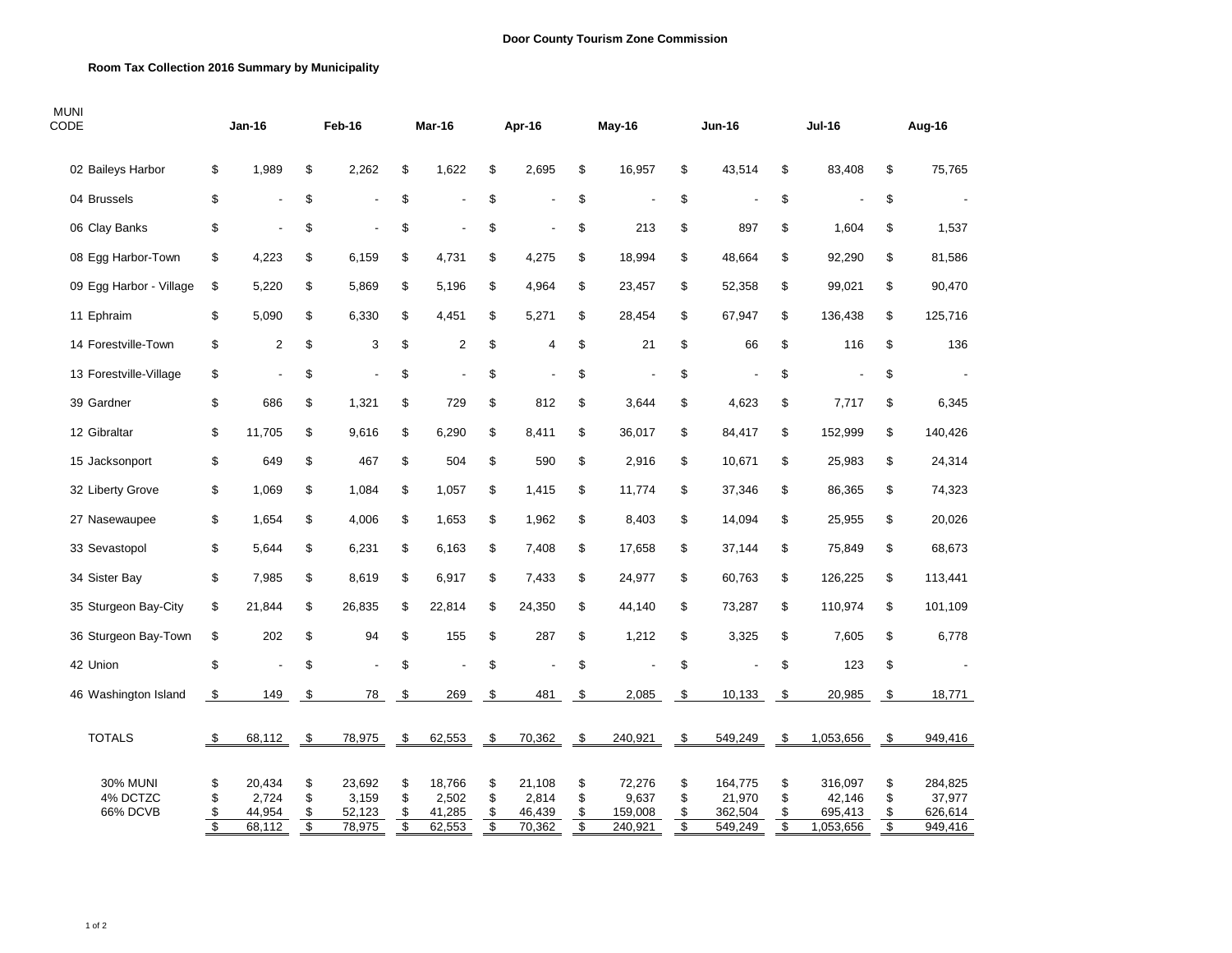## **Room Tax Collection 2016 Summary by Municipality**

| <b>MUNI</b><br>CODE                     | <b>Jan-16</b>        |                                     | Feb-16                                     |                                     | Mar-16               |                                     | Apr-16               |                                     | May-16               |                                       | <b>Jun-16</b>        |                                         | <b>Jul-16</b>        |                                           | Aug-16               |                                         |
|-----------------------------------------|----------------------|-------------------------------------|--------------------------------------------|-------------------------------------|----------------------|-------------------------------------|----------------------|-------------------------------------|----------------------|---------------------------------------|----------------------|-----------------------------------------|----------------------|-------------------------------------------|----------------------|-----------------------------------------|
| 02 Baileys Harbor                       | \$                   | 1,989                               | \$                                         | 2,262                               | \$                   | 1,622                               | \$                   | 2,695                               | \$                   | 16,957                                | \$                   | 43,514                                  | \$                   | 83,408                                    | \$                   | 75,765                                  |
| 04 Brussels                             | \$                   | $\overline{a}$                      | \$                                         |                                     | \$                   |                                     | \$                   |                                     | \$                   |                                       | \$                   |                                         | \$                   | $\overline{a}$                            | \$                   |                                         |
| 06 Clay Banks                           | \$                   | ÷,                                  | \$                                         |                                     | \$                   |                                     | \$                   | ÷,                                  | \$                   | 213                                   | \$                   | 897                                     | \$                   | 1,604                                     | \$                   | 1,537                                   |
| 08 Egg Harbor-Town                      | \$                   | 4,223                               | \$                                         | 6,159                               | \$                   | 4,731                               | \$                   | 4,275                               | \$                   | 18,994                                | \$                   | 48,664                                  | \$                   | 92,290                                    | \$                   | 81,586                                  |
| 09 Egg Harbor - Village                 | \$                   | 5,220                               | \$                                         | 5,869                               | \$                   | 5,196                               | \$                   | 4,964                               | \$                   | 23,457                                | \$                   | 52,358                                  | \$                   | 99,021                                    | \$                   | 90,470                                  |
| 11 Ephraim                              | \$                   | 5,090                               | \$                                         | 6,330                               | \$                   | 4,451                               | \$                   | 5,271                               | \$                   | 28,454                                | \$                   | 67,947                                  | \$                   | 136,438                                   | \$                   | 125,716                                 |
| 14 Forestville-Town                     | \$                   | $\overline{2}$                      | \$                                         | 3                                   | \$                   | $\overline{2}$                      | \$                   | $\overline{4}$                      | \$                   | 21                                    | \$                   | 66                                      | \$                   | 116                                       | \$                   | 136                                     |
| 13 Forestville-Village                  | \$                   | $\overline{a}$                      | \$                                         |                                     | \$                   | Ĭ.                                  | \$                   | $\blacksquare$                      | \$                   |                                       | \$                   | $\overline{a}$                          | \$                   |                                           | \$                   |                                         |
| 39 Gardner                              | \$                   | 686                                 | \$                                         | 1,321                               | \$                   | 729                                 | \$                   | 812                                 | \$                   | 3,644                                 | \$                   | 4,623                                   | \$                   | 7,717                                     | \$                   | 6,345                                   |
| 12 Gibraltar                            | \$                   | 11,705                              | \$                                         | 9,616                               | \$                   | 6,290                               | \$                   | 8,411                               | \$                   | 36,017                                | \$                   | 84,417                                  | \$                   | 152,999                                   | \$                   | 140,426                                 |
| 15 Jacksonport                          | \$                   | 649                                 | \$                                         | 467                                 | \$                   | 504                                 | \$                   | 590                                 | \$                   | 2,916                                 | \$                   | 10,671                                  | \$                   | 25,983                                    | \$                   | 24,314                                  |
| 32 Liberty Grove                        | \$                   | 1,069                               | \$                                         | 1,084                               | \$                   | 1,057                               | \$                   | 1,415                               | \$                   | 11,774                                | \$                   | 37,346                                  | $\mathsf{\$}$        | 86,365                                    | \$                   | 74,323                                  |
| 27 Nasewaupee                           | \$                   | 1,654                               | \$                                         | 4,006                               | \$                   | 1,653                               | \$                   | 1,962                               | \$                   | 8,403                                 | \$                   | 14,094                                  | \$                   | 25,955                                    | \$                   | 20,026                                  |
| 33 Sevastopol                           | \$                   | 5,644                               | \$                                         | 6,231                               | \$                   | 6,163                               | \$                   | 7,408                               | \$                   | 17,658                                | \$                   | 37,144                                  | \$                   | 75,849                                    | \$                   | 68,673                                  |
| 34 Sister Bay                           | \$                   | 7,985                               | \$                                         | 8,619                               | \$                   | 6,917                               | \$                   | 7,433                               | \$                   | 24,977                                | \$                   | 60,763                                  | \$                   | 126,225                                   | \$                   | 113,441                                 |
| 35 Sturgeon Bay-City                    | \$                   | 21,844                              | \$                                         | 26,835                              | \$                   | 22,814                              | \$                   | 24,350                              | \$                   | 44,140                                | \$                   | 73,287                                  | \$                   | 110,974                                   | \$                   | 101,109                                 |
| 36 Sturgeon Bay-Town                    | \$                   | 202                                 | \$                                         | 94                                  | \$                   | 155                                 | \$                   | 287                                 | \$                   | 1,212                                 | \$                   | 3,325                                   | \$                   | 7,605                                     | \$                   | 6,778                                   |
| 42 Union                                | \$                   | $\overline{a}$                      | \$                                         | ÷,                                  | \$                   |                                     | \$                   | Ĭ.                                  | \$                   |                                       | \$                   |                                         | \$                   | 123                                       | \$                   |                                         |
| 46 Washington Island                    | \$                   | 149                                 | $\mathfrak{S}$                             | 78                                  | \$                   | 269                                 | \$                   | 481                                 | \$                   | 2,085                                 | \$                   | 10,133                                  | - \$                 | 20,985                                    | \$                   | 18,771                                  |
| <b>TOTALS</b>                           | \$                   | 68,112                              | \$                                         | 78,975                              | \$                   | 62,553                              | \$                   | 70,362                              | \$                   | 240,921                               | \$                   | 549,249                                 | \$                   | 1,053,656                                 | $\sqrt{3}$           | 949,416                                 |
| <b>30% MUNI</b><br>4% DCTZC<br>66% DCVB | \$<br>\$<br>\$<br>\$ | 20,434<br>2,724<br>44,954<br>68,112 | \$<br>\$<br>\$<br>$\overline{\mathcal{S}}$ | 23,692<br>3,159<br>52,123<br>78,975 | \$<br>\$<br>\$<br>\$ | 18,766<br>2,502<br>41,285<br>62,553 | \$<br>\$<br>\$<br>\$ | 21,108<br>2,814<br>46,439<br>70,362 | \$<br>\$<br>\$<br>\$ | 72,276<br>9,637<br>159,008<br>240,921 | \$<br>\$<br>\$<br>\$ | 164,775<br>21,970<br>362,504<br>549,249 | \$<br>\$<br>\$<br>\$ | 316,097<br>42,146<br>695,413<br>1,053,656 | \$<br>\$<br>\$<br>\$ | 284,825<br>37,977<br>626,614<br>949,416 |